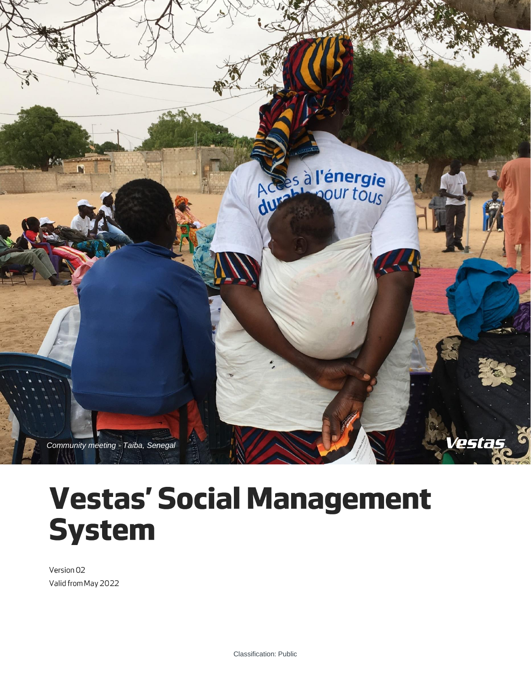

# **Vestas' Social Management System**

Version 02 Valid from May 2022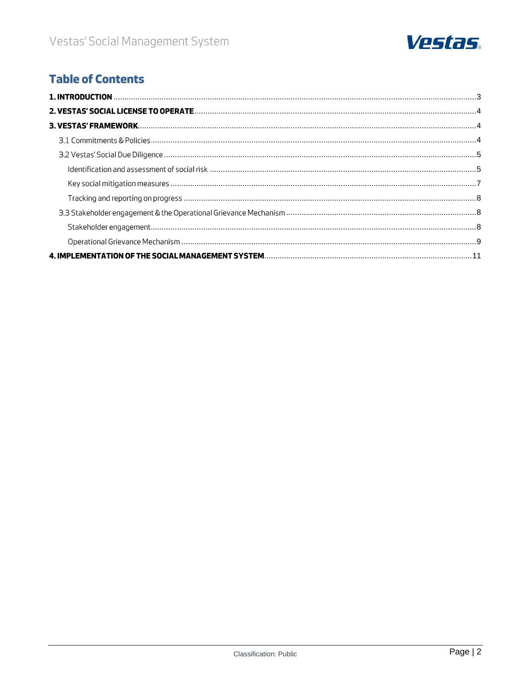

# **Table of Contents**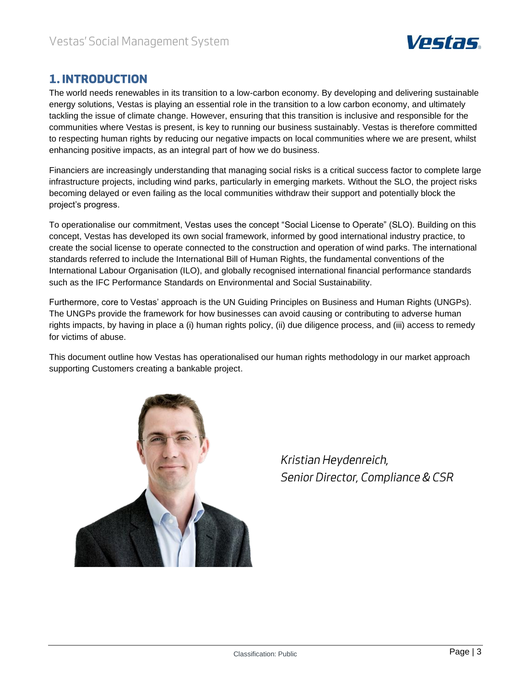

## <span id="page-2-0"></span>**1. INTRODUCTION**

The world needs renewables in its transition to a low-carbon economy. By developing and delivering sustainable energy solutions, Vestas is playing an essential role in the transition to a low carbon economy, and ultimately tackling the issue of climate change. However, ensuring that this transition is inclusive and responsible for the communities where Vestas is present, is key to running our business sustainably. Vestas is therefore committed to respecting human rights by reducing our negative impacts on local communities where we are present, whilst enhancing positive impacts, as an integral part of how we do business.

Financiers are increasingly understanding that managing social risks is a critical success factor to complete large infrastructure projects, including wind parks, particularly in emerging markets. Without the SLO, the project risks becoming delayed or even failing as the local communities withdraw their support and potentially block the project's progress.

To operationalise our commitment, Vestas uses the concept "Social License to Operate" (SLO). Building on this concept, Vestas has developed its own social framework, informed by good international industry practice, to create the social license to operate connected to the construction and operation of wind parks. The international standards referred to include the International Bill of Human Rights, the fundamental conventions of the International Labour Organisation (ILO), and globally recognised international financial performance standards such as the IFC Performance Standards on Environmental and Social Sustainability.

Furthermore, core to Vestas' approach is the UN Guiding Principles on Business and Human Rights (UNGPs). The UNGPs provide the framework for how businesses can avoid causing or contributing to adverse human rights impacts, by having in place a (i) human rights policy, (ii) due diligence process, and (iii) access to remedy for victims of abuse.

This document outline how Vestas has operationalised our human rights methodology in our market approach supporting Customers creating a bankable project.



Kristian Heydenreich, Senior Director, Compliance & CSR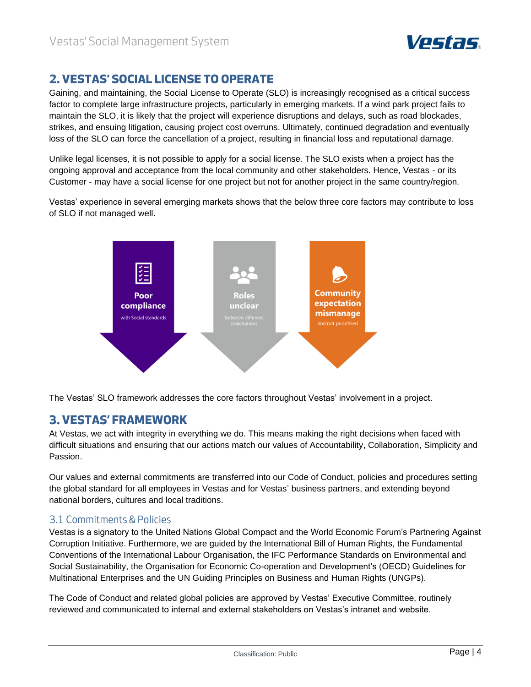

# <span id="page-3-0"></span>**2. VESTAS' SOCIAL LICENSE TO OPERATE**

Gaining, and maintaining, the Social License to Operate (SLO) is increasingly recognised as a critical success factor to complete large infrastructure projects, particularly in emerging markets. If a wind park project fails to maintain the SLO, it is likely that the project will experience disruptions and delays, such as road blockades, strikes, and ensuing litigation, causing project cost overruns. Ultimately, continued degradation and eventually loss of the SLO can force the cancellation of a project, resulting in financial loss and reputational damage.

Unlike legal licenses, it is not possible to apply for a social license. The SLO exists when a project has the ongoing approval and acceptance from the local community and other stakeholders. Hence, Vestas - or its Customer - may have a social license for one project but not for another project in the same country/region.

Vestas' experience in several emerging markets shows that the below three core factors may contribute to loss of SLO if not managed well.



The Vestas' SLO framework addresses the core factors throughout Vestas' involvement in a project.

## <span id="page-3-1"></span>**3. VESTAS' FRAMEWORK**

At Vestas, we act with integrity in everything we do. This means making the right decisions when faced with difficult situations and ensuring that our actions match our values of Accountability, Collaboration, Simplicity and Passion.

Our values and external commitments are transferred into our Code of Conduct, policies and procedures setting the global standard for all employees in Vestas and for Vestas' business partners, and extending beyond national borders, cultures and local traditions.

## <span id="page-3-2"></span>3.1 Commitments & Policies

Vestas is a signatory to the United Nations Global Compact and the World Economic Forum's Partnering Against Corruption Initiative. Furthermore, we are guided by the International Bill of Human Rights, the Fundamental Conventions of the International Labour Organisation, the IFC Performance Standards on Environmental and Social Sustainability, the Organisation for Economic Co-operation and Development's (OECD) Guidelines for Multinational Enterprises and the UN Guiding Principles on Business and Human Rights (UNGPs).

The Code of Conduct and related global policies are approved by Vestas' Executive Committee, routinely reviewed and communicated to internal and external stakeholders on Vestas's intranet and website.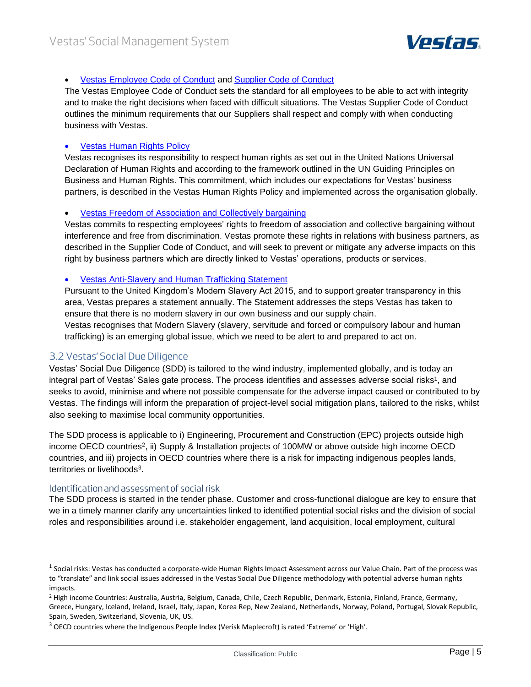

#### • [Vestas Employee Code of Conduct](https://www.vestas.com/en/sustainability/corporate-integrity/compliance) and Supplier [Code of Conduct](https://www.vestas.com/en/sustainability/corporate-integrity/compliance)

The Vestas Employee Code of Conduct sets the standard for all employees to be able to act with integrity and to make the right decisions when faced with difficult situations. The Vestas Supplier Code of Conduct outlines the minimum requirements that our Suppliers shall respect and comply with when conducting business with Vestas.

#### • [Vestas Human Rights Policy](https://www.vestas.com/en/sustainability/policies)

Vestas recognises its responsibility to respect human rights as set out in the United Nations Universal Declaration of Human Rights and according to the framework outlined in the UN Guiding Principles on Business and Human Rights. This commitment, which includes our expectations for Vestas' business partners, is described in the Vestas Human Rights Policy and implemented across the organisation globally.

#### • [Vestas Freedom of Association and Collectively bargaining](https://www.vestas.com/~/media/vestas/about/sustainability/pdfs/freedom%20of%20association%20policy.pdf)

Vestas commits to respecting employees' rights to freedom of association and collective bargaining without interference and free from discrimination. Vestas promote these rights in relations with business partners, as described in the Supplier Code of Conduct, and will seek to prevent or mitigate any adverse impacts on this right by business partners which are directly linked to Vestas' operations, products or services.

#### • [Vestas Anti-Slavery and Human Trafficking Statement](https://www.vestas.com/en/sustainability/corporate-integrity/compliance)

Pursuant to the United Kingdom's Modern Slavery Act 2015, and to support greater transparency in this area, Vestas prepares a statement annually. The Statement addresses the steps Vestas has taken to ensure that there is no modern slavery in our own business and our supply chain. Vestas recognises that Modern Slavery (slavery, servitude and forced or compulsory labour and human trafficking) is an emerging global issue, which we need to be alert to and prepared to act on.

#### <span id="page-4-0"></span>3.2 Vestas' Social Due Diligence

Vestas' Social Due Diligence (SDD) is tailored to the wind industry, implemented globally, and is today an integral part of Vestas' Sales gate process. The process identifies and assesses adverse social risks<sup>1</sup>, and seeks to avoid, minimise and where not possible compensate for the adverse impact caused or contributed to by Vestas. The findings will inform the preparation of project-level social mitigation plans, tailored to the risks, whilst also seeking to maximise local community opportunities.

The SDD process is applicable to i) Engineering, Procurement and Construction (EPC) projects outside high income OECD countries<sup>2</sup>, ii) Supply & Installation projects of 100MW or above outside high income OECD countries, and iii) projects in OECD countries where there is a risk for impacting indigenous peoples lands, territories or livelihoods<sup>3</sup>.

#### <span id="page-4-1"></span>Identification and assessment of social risk

The SDD process is started in the tender phase. Customer and cross-functional dialogue are key to ensure that we in a timely manner clarify any uncertainties linked to identified potential social risks and the division of social roles and responsibilities around i.e. stakeholder engagement, land acquisition, local employment, cultural

 $^1$  Social risks: Vestas has conducted a corporate-wide Human Rights Impact Assessment across our Value Chain. Part of the process was to "translate" and link social issues addressed in the Vestas Social Due Diligence methodology with potential adverse human rights impacts.

<sup>&</sup>lt;sup>2</sup> High income Countries: Australia, Austria, Belgium, Canada, Chile, Czech Republic, Denmark, Estonia, Finland, France, Germany, Greece, Hungary, Iceland, Ireland, Israel, Italy, Japan, Korea Rep, New Zealand, Netherlands, Norway, Poland, Portugal, Slovak Republic, Spain, Sweden, Switzerland, Slovenia, UK, US.

 $3$  OECD countries where the Indigenous People Index (Verisk Maplecroft) is rated 'Extreme' or 'High'.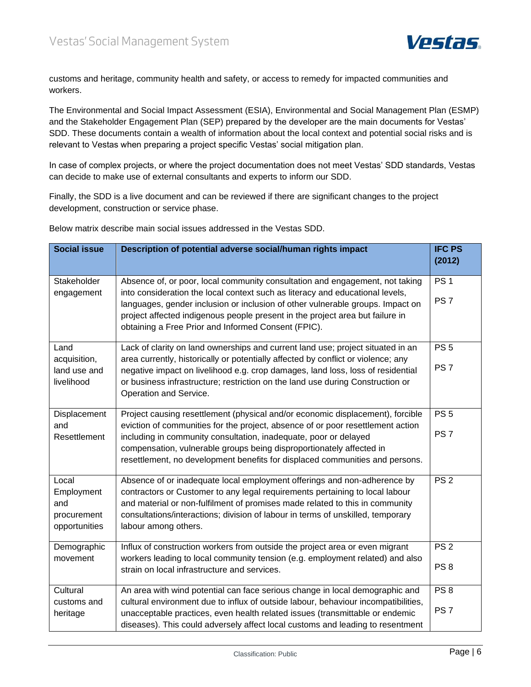

customs and heritage, community health and safety, or access to remedy for impacted communities and workers.

The Environmental and Social Impact Assessment (ESIA), Environmental and Social Management Plan (ESMP) and the Stakeholder Engagement Plan (SEP) prepared by the developer are the main documents for Vestas' SDD. These documents contain a wealth of information about the local context and potential social risks and is relevant to Vestas when preparing a project specific Vestas' social mitigation plan.

In case of complex projects, or where the project documentation does not meet Vestas' SDD standards, Vestas can decide to make use of external consultants and experts to inform our SDD.

Finally, the SDD is a live document and can be reviewed if there are significant changes to the project development, construction or service phase.

Below matrix describe main social issues addressed in the Vestas SDD.

| <b>Social issue</b>                                        | Description of potential adverse social/human rights impact                                                                                                                                                                                                                                                                                                                                   | <b>IFC PS</b>                      |
|------------------------------------------------------------|-----------------------------------------------------------------------------------------------------------------------------------------------------------------------------------------------------------------------------------------------------------------------------------------------------------------------------------------------------------------------------------------------|------------------------------------|
|                                                            |                                                                                                                                                                                                                                                                                                                                                                                               | (2012)                             |
| Stakeholder<br>engagement                                  | Absence of, or poor, local community consultation and engagement, not taking<br>into consideration the local context such as literacy and educational levels,<br>languages, gender inclusion or inclusion of other vulnerable groups. Impact on<br>project affected indigenous people present in the project area but failure in<br>obtaining a Free Prior and Informed Consent (FPIC).       | PS <sub>1</sub><br>PS <sub>7</sub> |
| Land<br>acquisition,<br>land use and<br>livelihood         | Lack of clarity on land ownerships and current land use; project situated in an<br>area currently, historically or potentially affected by conflict or violence; any<br>negative impact on livelihood e.g. crop damages, land loss, loss of residential<br>or business infrastructure; restriction on the land use during Construction or<br>Operation and Service.                           | PS <sub>5</sub><br>PS <sub>7</sub> |
| Displacement<br>and<br>Resettlement                        | Project causing resettlement (physical and/or economic displacement), forcible<br>eviction of communities for the project, absence of or poor resettlement action<br>including in community consultation, inadequate, poor or delayed<br>compensation, vulnerable groups being disproportionately affected in<br>resettlement, no development benefits for displaced communities and persons. | PS <sub>5</sub><br>PS <sub>7</sub> |
| Local<br>Employment<br>and<br>procurement<br>opportunities | Absence of or inadequate local employment offerings and non-adherence by<br>contractors or Customer to any legal requirements pertaining to local labour<br>and material or non-fulfilment of promises made related to this in community<br>consultations/interactions; division of labour in terms of unskilled, temporary<br>labour among others.                                           | PS <sub>2</sub>                    |
| Demographic<br>movement                                    | Influx of construction workers from outside the project area or even migrant<br>workers leading to local community tension (e.g. employment related) and also<br>strain on local infrastructure and services.                                                                                                                                                                                 | PS <sub>2</sub><br>PS <sub>8</sub> |
| Cultural<br>customs and<br>heritage                        | An area with wind potential can face serious change in local demographic and<br>cultural environment due to influx of outside labour, behaviour incompatibilities,<br>unacceptable practices, even health related issues (transmittable or endemic<br>diseases). This could adversely affect local customs and leading to resentment                                                          | PS 8<br>PS <sub>7</sub>            |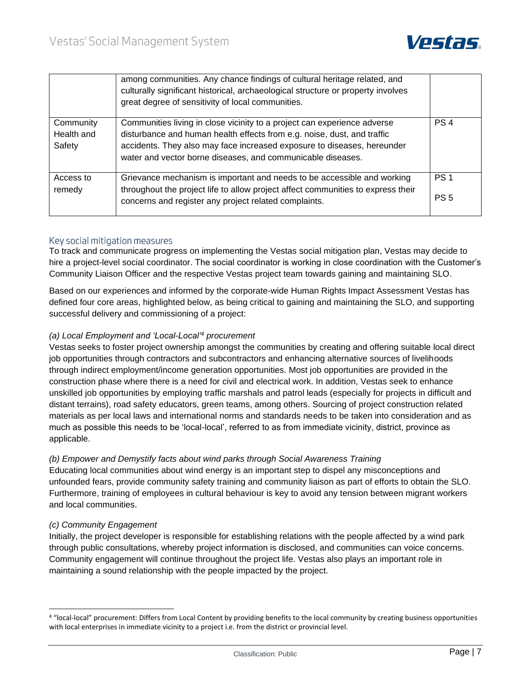

|                                   | among communities. Any chance findings of cultural heritage related, and<br>culturally significant historical, archaeological structure or property involves<br>great degree of sensitivity of local communities.                                                                             |                                    |
|-----------------------------------|-----------------------------------------------------------------------------------------------------------------------------------------------------------------------------------------------------------------------------------------------------------------------------------------------|------------------------------------|
| Community<br>Health and<br>Safety | Communities living in close vicinity to a project can experience adverse<br>disturbance and human health effects from e.g. noise, dust, and traffic<br>accidents. They also may face increased exposure to diseases, hereunder<br>water and vector borne diseases, and communicable diseases. | PS <sub>4</sub>                    |
| Access to<br>remedy               | Grievance mechanism is important and needs to be accessible and working<br>throughout the project life to allow project affect communities to express their<br>concerns and register any project related complaints.                                                                          | PS <sub>1</sub><br>PS <sub>5</sub> |

#### <span id="page-6-0"></span>Key social mitigation measures

To track and communicate progress on implementing the Vestas social mitigation plan, Vestas may decide to hire a project-level social coordinator. The social coordinator is working in close coordination with the Customer's Community Liaison Officer and the respective Vestas project team towards gaining and maintaining SLO.

Based on our experiences and informed by the corporate-wide Human Rights Impact Assessment Vestas has defined four core areas, highlighted below, as being critical to gaining and maintaining the SLO, and supporting successful delivery and commissioning of a project:

#### *(a) Local Employment and 'Local-Local'<sup>4</sup> procurement*

Vestas seeks to foster project ownership amongst the communities by creating and offering suitable local direct job opportunities through contractors and subcontractors and enhancing alternative sources of livelihoods through indirect employment/income generation opportunities. Most job opportunities are provided in the construction phase where there is a need for civil and electrical work. In addition, Vestas seek to enhance unskilled job opportunities by employing traffic marshals and patrol leads (especially for projects in difficult and distant terrains), road safety educators, green teams, among others. Sourcing of project construction related materials as per local laws and international norms and standards needs to be taken into consideration and as much as possible this needs to be 'local-local', referred to as from immediate vicinity, district, province as applicable.

#### *(b) Empower and Demystify facts about wind parks through Social Awareness Training*

Educating local communities about wind energy is an important step to dispel any misconceptions and unfounded fears, provide community safety training and community liaison as part of efforts to obtain the SLO. Furthermore, training of employees in cultural behaviour is key to avoid any tension between migrant workers and local communities.

#### *(c) Community Engagement*

Initially, the project developer is responsible for establishing relations with the people affected by a wind park through public consultations, whereby project information is disclosed, and communities can voice concerns. Community engagement will continue throughout the project life. Vestas also plays an important role in maintaining a sound relationship with the people impacted by the project.

<sup>4 &</sup>quot;local-local" procurement: Differs from Local Content by providing benefits to the local community by creating business opportunities with local enterprises in immediate vicinity to a project i.e. from the district or provincial level.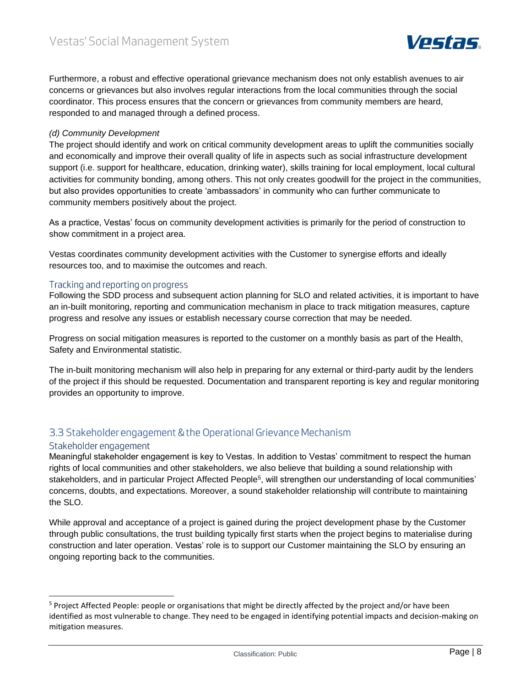

Furthermore, a robust and effective operational grievance mechanism does not only establish avenues to air concerns or grievances but also involves regular interactions from the local communities through the social coordinator. This process ensures that the concern or grievances from community members are heard, responded to and managed through a defined process.

#### *(d) Community Development*

The project should identify and work on critical community development areas to uplift the communities socially and economically and improve their overall quality of life in aspects such as social infrastructure development support (i.e. support for healthcare, education, drinking water), skills training for local employment, local cultural activities for community bonding, among others. This not only creates goodwill for the project in the communities, but also provides opportunities to create 'ambassadors' in community who can further communicate to community members positively about the project.

As a practice, Vestas' focus on community development activities is primarily for the period of construction to show commitment in a project area.

Vestas coordinates community development activities with the Customer to synergise efforts and ideally resources too, and to maximise the outcomes and reach.

#### <span id="page-7-0"></span>Tracking and reporting on progress

Following the SDD process and subsequent action planning for SLO and related activities, it is important to have an in-built monitoring, reporting and communication mechanism in place to track mitigation measures, capture progress and resolve any issues or establish necessary course correction that may be needed.

Progress on social mitigation measures is reported to the customer on a monthly basis as part of the Health, Safety and Environmental statistic.

The in-built monitoring mechanism will also help in preparing for any external or third-party audit by the lenders of the project if this should be requested. Documentation and transparent reporting is key and regular monitoring provides an opportunity to improve.

### <span id="page-7-1"></span>3.3 Stakeholder engagement & the Operational Grievance Mechanism

#### <span id="page-7-2"></span>Stakeholder engagement

Meaningful stakeholder engagement is key to Vestas. In addition to Vestas' commitment to respect the human rights of local communities and other stakeholders, we also believe that building a sound relationship with stakeholders, and in particular Project Affected People<sup>5</sup>, will strengthen our understanding of local communities' concerns, doubts, and expectations. Moreover, a sound stakeholder relationship will contribute to maintaining the SLO.

While approval and acceptance of a project is gained during the project development phase by the Customer through public consultations, the trust building typically first starts when the project begins to materialise during construction and later operation. Vestas' role is to support our Customer maintaining the SLO by ensuring an ongoing reporting back to the communities.

<sup>&</sup>lt;sup>5</sup> Project Affected People: people or organisations that might be directly affected by the project and/or have been identified as most vulnerable to change. They need to be engaged in identifying potential impacts and decision-making on mitigation measures.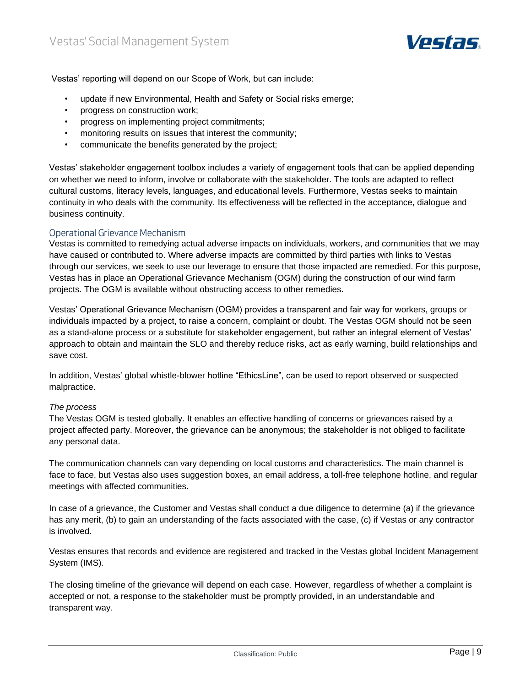

Vestas' reporting will depend on our Scope of Work, but can include:

- update if new Environmental, Health and Safety or Social risks emerge;
- progress on construction work;
- progress on implementing project commitments;
- monitoring results on issues that interest the community;
- communicate the benefits generated by the project;

Vestas' stakeholder engagement toolbox includes a variety of engagement tools that can be applied depending on whether we need to inform, involve or collaborate with the stakeholder. The tools are adapted to reflect cultural customs, literacy levels, languages, and educational levels. Furthermore, Vestas seeks to maintain continuity in who deals with the community. Its effectiveness will be reflected in the acceptance, dialogue and business continuity.

#### <span id="page-8-0"></span>Operational Grievance Mechanism

Vestas is committed to remedying actual adverse impacts on individuals, workers, and communities that we may have caused or contributed to. Where adverse impacts are committed by third parties with links to Vestas through our services, we seek to use our leverage to ensure that those impacted are remedied. For this purpose, Vestas has in place an Operational Grievance Mechanism (OGM) during the construction of our wind farm projects. The OGM is available without obstructing access to other remedies.

Vestas' Operational Grievance Mechanism (OGM) provides a transparent and fair way for workers, groups or individuals impacted by a project, to raise a concern, complaint or doubt. The Vestas OGM should not be seen as a stand-alone process or a substitute for stakeholder engagement, but rather an integral element of Vestas' approach to obtain and maintain the SLO and thereby reduce risks, act as early warning, build relationships and save cost.

In addition, Vestas' global whistle-blower hotline "EthicsLine", can be used to report observed or suspected malpractice.

#### *The process*

The Vestas OGM is tested globally. It enables an effective handling of concerns or grievances raised by a project affected party. Moreover, the grievance can be anonymous; the stakeholder is not obliged to facilitate any personal data.

The communication channels can vary depending on local customs and characteristics. The main channel is face to face, but Vestas also uses suggestion boxes, an email address, a toll-free telephone hotline, and regular meetings with affected communities.

In case of a grievance, the Customer and Vestas shall conduct a due diligence to determine (a) if the grievance has any merit, (b) to gain an understanding of the facts associated with the case, (c) if Vestas or any contractor is involved.

Vestas ensures that records and evidence are registered and tracked in the Vestas global Incident Management System (IMS).

The closing timeline of the grievance will depend on each case. However, regardless of whether a complaint is accepted or not, a response to the stakeholder must be promptly provided, in an understandable and transparent way.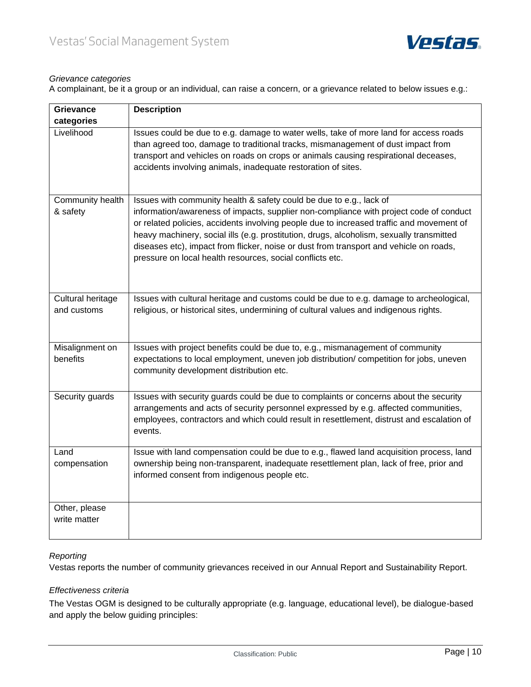

#### *Grievance categories*

A complainant, be it a group or an individual, can raise a concern, or a grievance related to below issues e.g.:

| <b>Grievance</b>                 | <b>Description</b>                                                                                                                                                                                                                                                                                                                                    |
|----------------------------------|-------------------------------------------------------------------------------------------------------------------------------------------------------------------------------------------------------------------------------------------------------------------------------------------------------------------------------------------------------|
| categories                       |                                                                                                                                                                                                                                                                                                                                                       |
| Livelihood                       | Issues could be due to e.g. damage to water wells, take of more land for access roads<br>than agreed too, damage to traditional tracks, mismanagement of dust impact from<br>transport and vehicles on roads on crops or animals causing respirational deceases,<br>accidents involving animals, inadequate restoration of sites.                     |
| Community health<br>& safety     | Issues with community health & safety could be due to e.g., lack of<br>information/awareness of impacts, supplier non-compliance with project code of conduct<br>or related policies, accidents involving people due to increased traffic and movement of<br>heavy machinery, social ills (e.g. prostitution, drugs, alcoholism, sexually transmitted |
|                                  | diseases etc), impact from flicker, noise or dust from transport and vehicle on roads,<br>pressure on local health resources, social conflicts etc.                                                                                                                                                                                                   |
| Cultural heritage<br>and customs | Issues with cultural heritage and customs could be due to e.g. damage to archeological,<br>religious, or historical sites, undermining of cultural values and indigenous rights.                                                                                                                                                                      |
| Misalignment on<br>benefits      | Issues with project benefits could be due to, e.g., mismanagement of community<br>expectations to local employment, uneven job distribution/competition for jobs, uneven<br>community development distribution etc.                                                                                                                                   |
| Security guards                  | Issues with security guards could be due to complaints or concerns about the security<br>arrangements and acts of security personnel expressed by e.g. affected communities,<br>employees, contractors and which could result in resettlement, distrust and escalation of<br>events.                                                                  |
| Land<br>compensation             | Issue with land compensation could be due to e.g., flawed land acquisition process, land<br>ownership being non-transparent, inadequate resettlement plan, lack of free, prior and<br>informed consent from indigenous people etc.                                                                                                                    |
| Other, please<br>write matter    |                                                                                                                                                                                                                                                                                                                                                       |

#### *Reporting*

Vestas reports the number of community grievances received in our Annual Report and Sustainability Report.

#### *Effectiveness criteria*

The Vestas OGM is designed to be culturally appropriate (e.g. language, educational level), be dialogue-based and apply the below guiding principles: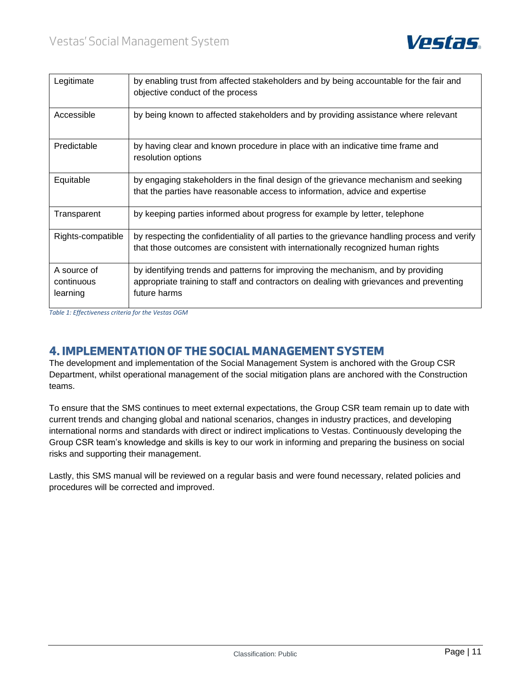

| Legitimate                            | by enabling trust from affected stakeholders and by being accountable for the fair and<br>objective conduct of the process                                                                  |
|---------------------------------------|---------------------------------------------------------------------------------------------------------------------------------------------------------------------------------------------|
| Accessible                            | by being known to affected stakeholders and by providing assistance where relevant                                                                                                          |
| Predictable                           | by having clear and known procedure in place with an indicative time frame and<br>resolution options                                                                                        |
| Equitable                             | by engaging stakeholders in the final design of the grievance mechanism and seeking<br>that the parties have reasonable access to information, advice and expertise                         |
| Transparent                           | by keeping parties informed about progress for example by letter, telephone                                                                                                                 |
| Rights-compatible                     | by respecting the confidentiality of all parties to the grievance handling process and verify<br>that those outcomes are consistent with internationally recognized human rights            |
| A source of<br>continuous<br>learning | by identifying trends and patterns for improving the mechanism, and by providing<br>appropriate training to staff and contractors on dealing with grievances and preventing<br>future harms |

*Table 1: Effectiveness criteria for the Vestas OGM*

## <span id="page-10-0"></span>**4. IMPLEMENTATION OF THE SOCIAL MANAGEMENT SYSTEM**

The development and implementation of the Social Management System is anchored with the Group CSR Department, whilst operational management of the social mitigation plans are anchored with the Construction teams.

To ensure that the SMS continues to meet external expectations, the Group CSR team remain up to date with current trends and changing global and national scenarios, changes in industry practices, and developing international norms and standards with direct or indirect implications to Vestas. Continuously developing the Group CSR team's knowledge and skills is key to our work in informing and preparing the business on social risks and supporting their management.

Lastly, this SMS manual will be reviewed on a regular basis and were found necessary, related policies and procedures will be corrected and improved.